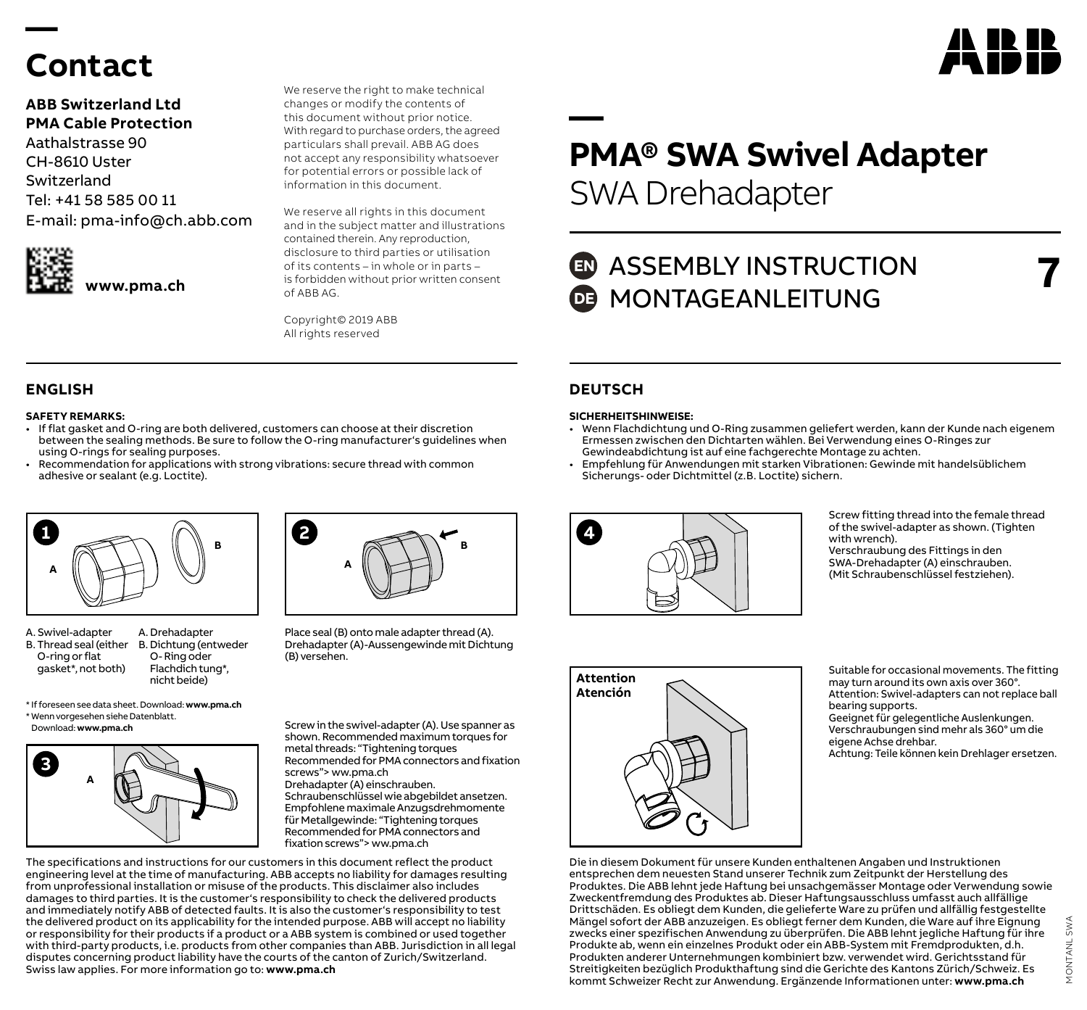# **Contact**

**—** 

### **ABB Switzerland Ltd PMA Cable Protection**

Aathalstrasse 90 CH-8610 Uster Switzerland Tel: +41 58 585 00 11 E-mail: pma-info@ch.abb.com



We reserve the right to make technical changes or modify the contents of this document without prior notice. With regard to purchase orders, the agreed particulars shall prevail. ABB AG does not accept any responsibility whatsoever for potential errors or possible lack of information in this document.

We reserve all rights in this document and in the subject matter and illustrations contained therein. Any reproduction, disclosure to third parties or utilisation of its contents – in whole or in parts – is forbidden without prior written consent of ABB AG.

Copyright© 2019 ABB All rights reserved

#### **SAFETY REMARKS:**

- If flat gasket and O-ring are both delivered, customers can choose at their discretion between the sealing methods. Be sure to follow the O-ring manufacturer's guidelines when using O-rings for sealing purposes.
- Recommendation for applications with strong vibrations: secure thread with common adhesive or sealant (e.g. Loctite).



- A. Swivel-adapter B. Thread seal (either B. Dichtung (entweder O-ring or flat gasket\*, not both) A. Drehadapter O- Ring oder Flachdich tung\*, nicht beide)
- **<sup>B</sup> <sup>B</sup> <sup>2</sup> A**

Place seal (B) onto male adapter thread (A). Drehadapter (A)-Aussengewinde mit Dichtung (B) versehen.

\* If foreseen see data sheet. Download: **www.pma.ch** \* Wenn vorgesehen siehe Datenblatt.



Screw in the swivel-adapter (A). Use spanner as shown. Recommended maximum torques for metal threads: "Tightening torques Recommended for PMA connectors and fixation screws"> ww.pma.ch Drehadapter (A) einschrauben.

Schraubenschlüssel wie abgebildet ansetzen. Empfohlene maximale Anzugsdrehmomente für Metallgewinde: "Tightening torques Recommended for PMA connectors and fixation screws"> ww.pma.ch

The specifications and instructions for our customers in this document reflect the product engineering level at the time of manufacturing. ABB accepts no liability for damages resulting from unprofessional installation or misuse of the products. This disclaimer also includes damages to third parties. It is the customer's responsibility to check the delivered products and immediately notify ABB of detected faults. It is also the customer's responsibility to test the delivered product on its applicability for the intended purpose. ABB will accept no liability or responsibility for their products if a product or a ABB system is combined or used together with third-party products, i.e. products from other companies than ABB. Jurisdiction in all legal disputes concerning product liability have the courts of the canton of Zurich/Switzerland. Swiss law applies. For more information go to: **www.pma.ch**

# **— PMA® SWA Swivel Adapter** SWA Drehadapter

## **ED** ASSEMBLY INSTRUCTION **DE MONTAGEANLEITUNG**

### **ENGLISH DEUTSCH**

#### **SICHERHEITSHINWEISE:**

- Wenn Flachdichtung und O-Ring zusammen geliefert werden, kann der Kunde nach eigenem Ermessen zwischen den Dichtarten wählen. Bei Verwendung eines O-Ringes zur Gewindeabdichtung ist auf eine fachgerechte Montage zu achten.
- Empfehlung für Anwendungen mit starken Vibrationen: Gewinde mit handelsüblichem Sicherungs- oder Dichtmittel (z.B. Loctite) sichern.



Screw fitting thread into the female thread of the swivel-adapter as shown. (Tighten with wrench). Verschraubung des Fittings in den SWA-Drehadapter (A) einschrauben. (Mit Schraubenschlüssel festziehen).



Suitable for occasional movements. The fitting may turn around its own axis over 360°. Attention: Swivel-adapters can not replace ball bearing supports. Geeignet für gelegentliche Auslenkungen.

Verschraubungen sind mehr als 360° um die eigene Achse drehbar. Achtung: Teile können kein Drehlager ersetzen.

Die in diesem Dokument für unsere Kunden enthaltenen Angaben und Instruktionen entsprechen dem neuesten Stand unserer Technik zum Zeitpunkt der Herstellung des Produktes. Die ABB lehnt jede Haftung bei unsachgemässer Montage oder Verwendung sowie Zweckentfremdung des Produktes ab. Dieser Haftungsausschluss umfasst auch allfällige Drittschäden. Es obliegt dem Kunden, die gelieferte Ware zu prüfen und allfällig festgestellte Mängel sofort der ABB anzuzeigen. Es obliegt ferner dem Kunden, die Ware auf ihre Eignung zwecks einer spezifischen Anwendung zu überprüfen. Die ABB lehnt jegliche Haftung für ihre Produkte ab, wenn ein einzelnes Produkt oder ein ABB-System mit Fremdprodukten, d.h. Produkten anderer Unternehmungen kombiniert bzw. verwendet wird. Gerichtsstand für Streitigkeiten bezüglich Produkthaftung sind die Gerichte des Kantons Zürich/Schweiz. Es kommt Schweizer Recht zur Anwendung. Ergänzende Informationen unter: **www.pma.ch**



**7**